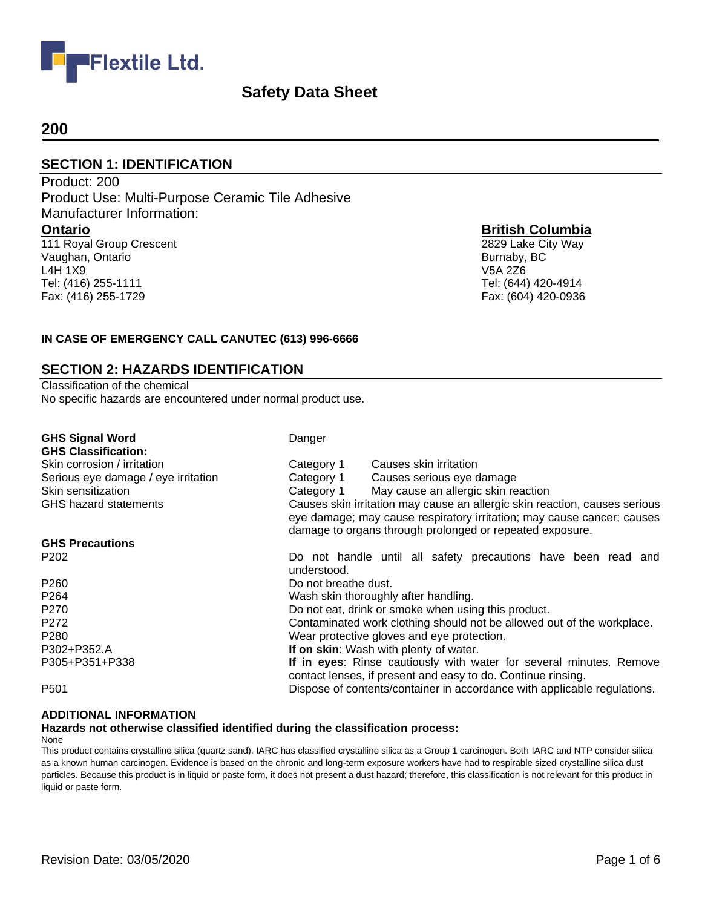

## **200**

Tel: (416) 255-1111 Fax: (416) 255-1729

#### **SECTION 1: IDENTIFICATION**

Product: 200 Product Use: Multi-Purpose Ceramic Tile Adhesive Manufacturer Information: **Ontario** 111 Royal Group Crescent Vaughan, Ontario L4H 1X9

**British Columbia**

2829 Lake City Way Burnaby, BC V5A 2Z6 Tel: (644) 420-4914 Fax: (604) 420-0936

#### **IN CASE OF EMERGENCY CALL CANUTEC (613) 996-6666**

#### **SECTION 2: HAZARDS IDENTIFICATION**

Classification of the chemical No specific hazards are encountered under normal product use.

| <b>GHS Signal Word</b><br><b>GHS Classification:</b> | Danger                                                                                                                                                                                                           |                                                                                                                                     |
|------------------------------------------------------|------------------------------------------------------------------------------------------------------------------------------------------------------------------------------------------------------------------|-------------------------------------------------------------------------------------------------------------------------------------|
| Skin corrosion / irritation                          | Category 1                                                                                                                                                                                                       | Causes skin irritation                                                                                                              |
| Serious eye damage / eye irritation                  |                                                                                                                                                                                                                  | Category 1 Causes serious eye damage                                                                                                |
| Skin sensitization                                   | Category 1                                                                                                                                                                                                       | May cause an allergic skin reaction                                                                                                 |
| <b>GHS</b> hazard statements                         | Causes skin irritation may cause an allergic skin reaction, causes serious<br>eye damage; may cause respiratory irritation; may cause cancer; causes<br>damage to organs through prolonged or repeated exposure. |                                                                                                                                     |
| <b>GHS Precautions</b>                               |                                                                                                                                                                                                                  |                                                                                                                                     |
| P <sub>202</sub>                                     | understood.                                                                                                                                                                                                      | Do not handle until all safety precautions have been read and                                                                       |
| P <sub>260</sub>                                     | Do not breathe dust.                                                                                                                                                                                             |                                                                                                                                     |
| P <sub>264</sub>                                     |                                                                                                                                                                                                                  | Wash skin thoroughly after handling.                                                                                                |
| P <sub>270</sub>                                     |                                                                                                                                                                                                                  | Do not eat, drink or smoke when using this product.                                                                                 |
| P <sub>272</sub>                                     |                                                                                                                                                                                                                  | Contaminated work clothing should not be allowed out of the workplace.                                                              |
| P <sub>280</sub>                                     |                                                                                                                                                                                                                  | Wear protective gloves and eye protection.                                                                                          |
| P302+P352.A                                          |                                                                                                                                                                                                                  | If on skin: Wash with plenty of water.                                                                                              |
| P305+P351+P338                                       |                                                                                                                                                                                                                  | If in eyes: Rinse cautiously with water for several minutes. Remove<br>contact lenses, if present and easy to do. Continue rinsing. |
| P <sub>501</sub>                                     |                                                                                                                                                                                                                  | Dispose of contents/container in accordance with applicable regulations.                                                            |

#### **ADDITIONAL INFORMATION**

## **Hazards not otherwise classified identified during the classification process:**

None

This product contains crystalline silica (quartz sand). IARC has classified crystalline silica as a Group 1 carcinogen. Both IARC and NTP consider silica as a known human carcinogen. Evidence is based on the chronic and long-term exposure workers have had to respirable sized crystalline silica dust particles. Because this product is in liquid or paste form, it does not present a dust hazard; therefore, this classification is not relevant for this product in liquid or paste form.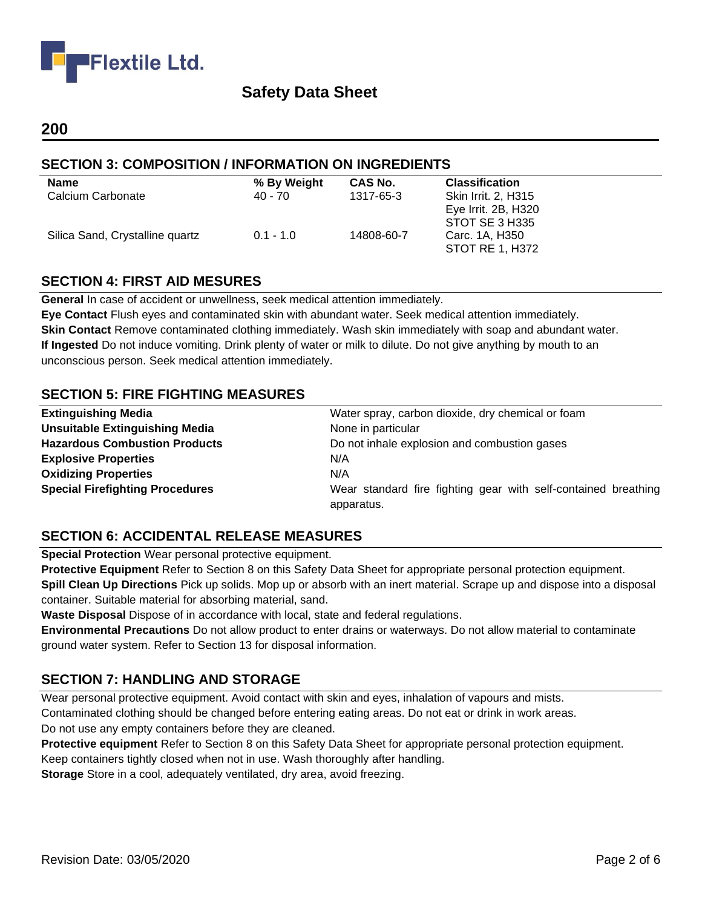

## **200**

## **SECTION 3: COMPOSITION / INFORMATION ON INGREDIENTS**

| <b>Name</b>                     | % By Weight | <b>CAS No.</b> | <b>Classification</b> |
|---------------------------------|-------------|----------------|-----------------------|
| Calcium Carbonate               | 40 - 70     | 1317-65-3      | Skin Irrit. 2, H315   |
|                                 |             |                | Eye Irrit. 2B, H320   |
|                                 |             |                | STOT SE 3 H335        |
| Silica Sand, Crystalline quartz | $0.1 - 1.0$ | 14808-60-7     | Carc. 1A, H350        |
|                                 |             |                | STOT RE 1, H372       |

## **SECTION 4: FIRST AID MESURES**

**General** In case of accident or unwellness, seek medical attention immediately.

**Eye Contact** Flush eyes and contaminated skin with abundant water. Seek medical attention immediately. **Skin Contact** Remove contaminated clothing immediately. Wash skin immediately with soap and abundant water. **If Ingested** Do not induce vomiting. Drink plenty of water or milk to dilute. Do not give anything by mouth to an unconscious person. Seek medical attention immediately.

#### **SECTION 5: FIRE FIGHTING MEASURES**

| <b>Extinguishing Media</b>             | Water spray, carbon dioxide, dry chemical or foam              |
|----------------------------------------|----------------------------------------------------------------|
| <b>Unsuitable Extinguishing Media</b>  | None in particular                                             |
| <b>Hazardous Combustion Products</b>   | Do not inhale explosion and combustion gases                   |
| <b>Explosive Properties</b>            | N/A                                                            |
| <b>Oxidizing Properties</b>            | N/A                                                            |
| <b>Special Firefighting Procedures</b> | Wear standard fire fighting gear with self-contained breathing |
|                                        | apparatus.                                                     |

## **SECTION 6: ACCIDENTAL RELEASE MEASURES**

**Special Protection** Wear personal protective equipment.

**Protective Equipment** Refer to Section 8 on this Safety Data Sheet for appropriate personal protection equipment. **Spill Clean Up Directions** Pick up solids. Mop up or absorb with an inert material. Scrape up and dispose into a disposal container. Suitable material for absorbing material, sand.

**Waste Disposal** Dispose of in accordance with local, state and federal regulations.

**Environmental Precautions** Do not allow product to enter drains or waterways. Do not allow material to contaminate ground water system. Refer to Section 13 for disposal information.

## **SECTION 7: HANDLING AND STORAGE**

Wear personal protective equipment. Avoid contact with skin and eyes, inhalation of vapours and mists. Contaminated clothing should be changed before entering eating areas. Do not eat or drink in work areas.

Do not use any empty containers before they are cleaned.

**Protective equipment** Refer to Section 8 on this Safety Data Sheet for appropriate personal protection equipment. Keep containers tightly closed when not in use. Wash thoroughly after handling.

**Storage** Store in a cool, adequately ventilated, dry area, avoid freezing.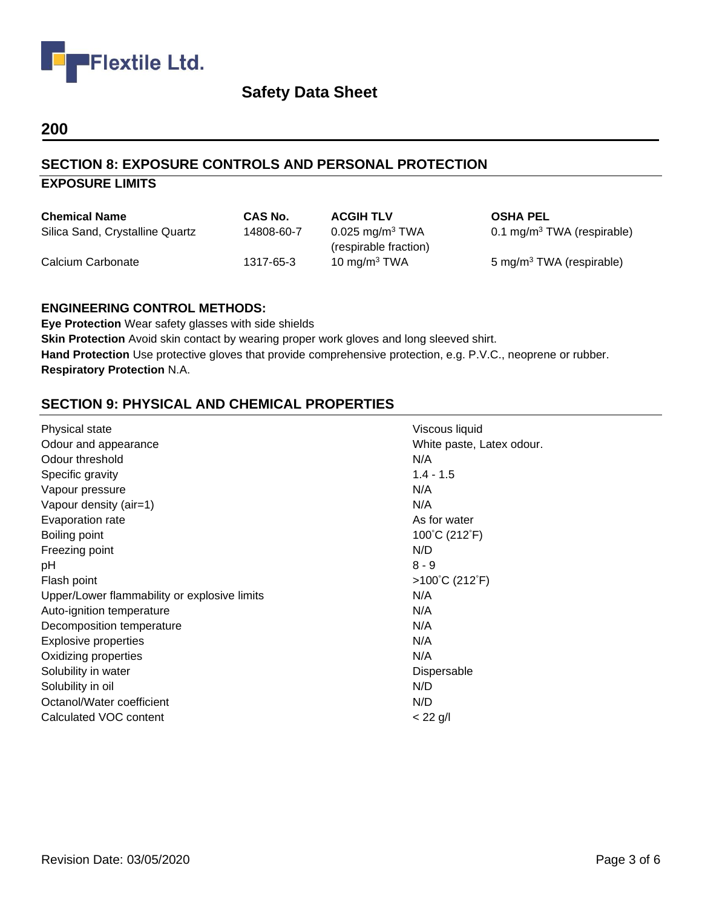

## **200**

## **SECTION 8: EXPOSURE CONTROLS AND PERSONAL PROTECTION**

| <b>EXPOSURE LIMITS</b> |  |
|------------------------|--|
|------------------------|--|

| <b>Chemical Name</b>            | CAS No.    | <b>ACGIH TLV</b>                                       | <b>OSHA PEL</b>                        |
|---------------------------------|------------|--------------------------------------------------------|----------------------------------------|
| Silica Sand, Crystalline Quartz | 14808-60-7 | $0.025$ mg/m <sup>3</sup> TWA<br>(respirable fraction) | 0.1 mg/m <sup>3</sup> TWA (respirable) |
| Calcium Carbonate               | 1317-65-3  | 10 mg/m $3$ TWA                                        | 5 mg/m <sup>3</sup> TWA (respirable)   |

#### **ENGINEERING CONTROL METHODS:**

**Eye Protection** Wear safety glasses with side shields **Skin Protection** Avoid skin contact by wearing proper work gloves and long sleeved shirt. **Hand Protection** Use protective gloves that provide comprehensive protection, e.g. P.V.C., neoprene or rubber. **Respiratory Protection** N.A.

# **SECTION 9: PHYSICAL AND CHEMICAL PROPERTIES**

| Physical state                               | Viscous liquid                      |
|----------------------------------------------|-------------------------------------|
| Odour and appearance                         | White paste, Latex odour.           |
| Odour threshold                              | N/A                                 |
| Specific gravity                             | $1.4 - 1.5$                         |
| Vapour pressure                              | N/A                                 |
| Vapour density (air=1)                       | N/A                                 |
| Evaporation rate                             | As for water                        |
| Boiling point                                | 100°C (212°F)                       |
| Freezing point                               | N/D                                 |
| рH                                           | $8 - 9$                             |
| Flash point                                  | $>100^{\circ}$ C (212 $^{\circ}$ F) |
| Upper/Lower flammability or explosive limits | N/A                                 |
| Auto-ignition temperature                    | N/A                                 |
| Decomposition temperature                    | N/A                                 |
| <b>Explosive properties</b>                  | N/A                                 |
| Oxidizing properties                         | N/A                                 |
| Solubility in water                          | Dispersable                         |
| Solubility in oil                            | N/D                                 |
| Octanol/Water coefficient                    | N/D                                 |
| Calculated VOC content                       | $< 22$ g/l                          |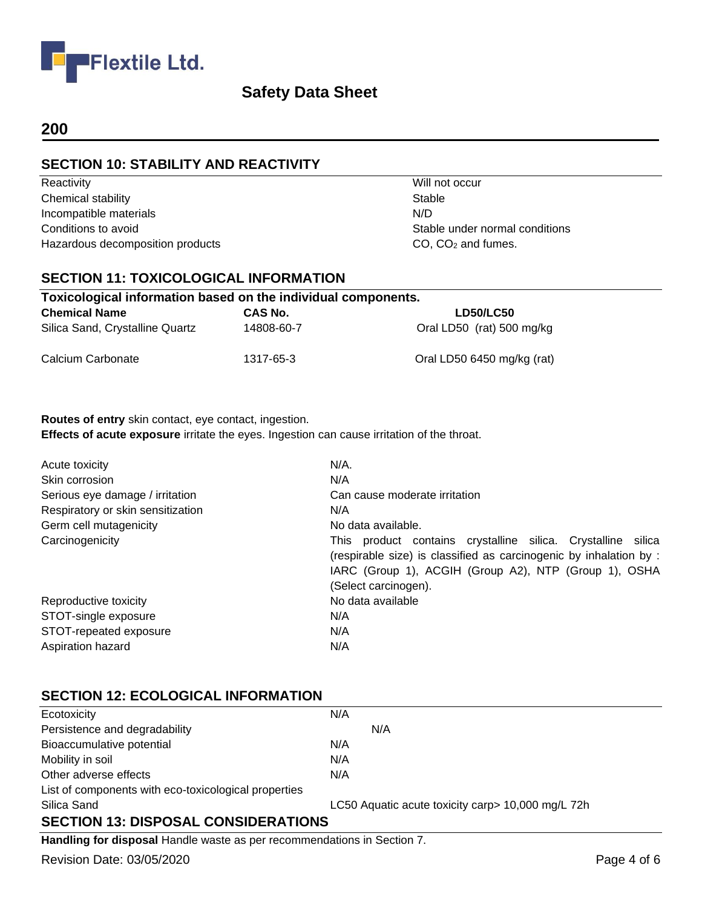

## **200**

## **SECTION 10: STABILITY AND REACTIVITY**

Reactivity **Will not occur** Chemical stability Stable Incompatible materials N/D Conditions to avoid Conditions to avoid Conditions of the Stable under normal conditions of the Stable under normal conditions Hazardous decomposition products CO, CO<sub>2</sub> and fumes.

## **SECTION 11: TOXICOLOGICAL INFORMATION**

| Toxicological information based on the individual components. |            |                            |
|---------------------------------------------------------------|------------|----------------------------|
| <b>Chemical Name</b>                                          | CAS No.    | <b>LD50/LC50</b>           |
| Silica Sand, Crystalline Quartz                               | 14808-60-7 | Oral LD50 (rat) 500 mg/kg  |
| Calcium Carbonate                                             | 1317-65-3  | Oral LD50 6450 mg/kg (rat) |

#### **Routes of entry** skin contact, eye contact, ingestion. **Effects of acute exposure** irritate the eyes. Ingestion can cause irritation of the throat.

| Acute toxicity                    | $N/A$ .                                                                                                                                                                                                             |
|-----------------------------------|---------------------------------------------------------------------------------------------------------------------------------------------------------------------------------------------------------------------|
| Skin corrosion                    | N/A                                                                                                                                                                                                                 |
| Serious eye damage / irritation   | Can cause moderate irritation                                                                                                                                                                                       |
| Respiratory or skin sensitization | N/A                                                                                                                                                                                                                 |
| Germ cell mutagenicity            | No data available.                                                                                                                                                                                                  |
| Carcinogenicity                   | This product contains crystalline silica. Crystalline silica<br>(respirable size) is classified as carcinogenic by inhalation by :<br>IARC (Group 1), ACGIH (Group A2), NTP (Group 1), OSHA<br>(Select carcinogen). |
| Reproductive toxicity             | No data available                                                                                                                                                                                                   |
| STOT-single exposure              | N/A                                                                                                                                                                                                                 |
| STOT-repeated exposure            | N/A                                                                                                                                                                                                                 |
| Aspiration hazard                 | N/A                                                                                                                                                                                                                 |

## **SECTION 12: ECOLOGICAL INFORMATION**

| Ecotoxicity                                          | N/A                                               |  |
|------------------------------------------------------|---------------------------------------------------|--|
| Persistence and degradability                        | N/A                                               |  |
| Bioaccumulative potential                            | N/A                                               |  |
| Mobility in soil                                     | N/A                                               |  |
| Other adverse effects                                | N/A                                               |  |
| List of components with eco-toxicological properties |                                                   |  |
| Silica Sand                                          | LC50 Aquatic acute toxicity carp> 10,000 mg/L 72h |  |
| <b>SECTION 13: DISPOSAL CONSIDERATIONS</b>           |                                                   |  |

**Handling for disposal** Handle waste as per recommendations in Section 7.

Revision Date: 03/05/2020 **Page 4 of 6**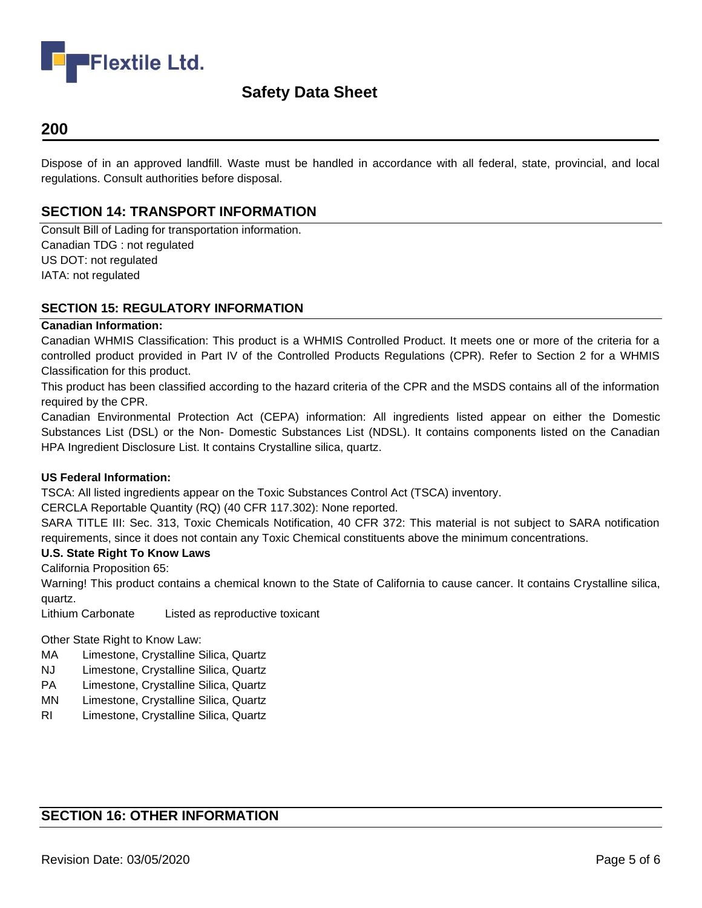

## **200**

Dispose of in an approved landfill. Waste must be handled in accordance with all federal, state, provincial, and local regulations. Consult authorities before disposal.

#### **SECTION 14: TRANSPORT INFORMATION**

Consult Bill of Lading for transportation information. Canadian TDG : not regulated US DOT: not regulated IATA: not regulated

#### **SECTION 15: REGULATORY INFORMATION**

#### **Canadian Information:**

Canadian WHMIS Classification: This product is a WHMIS Controlled Product. It meets one or more of the criteria for a controlled product provided in Part IV of the Controlled Products Regulations (CPR). Refer to Section 2 for a WHMIS Classification for this product.

This product has been classified according to the hazard criteria of the CPR and the MSDS contains all of the information required by the CPR.

Canadian Environmental Protection Act (CEPA) information: All ingredients listed appear on either the Domestic Substances List (DSL) or the Non- Domestic Substances List (NDSL). It contains components listed on the Canadian HPA Ingredient Disclosure List. It contains Crystalline silica, quartz.

#### **US Federal Information:**

TSCA: All listed ingredients appear on the Toxic Substances Control Act (TSCA) inventory.

CERCLA Reportable Quantity (RQ) (40 CFR 117.302): None reported.

SARA TITLE III: Sec. 313, Toxic Chemicals Notification, 40 CFR 372: This material is not subject to SARA notification requirements, since it does not contain any Toxic Chemical constituents above the minimum concentrations.

#### **U.S. State Right To Know Laws**

California Proposition 65:

Warning! This product contains a chemical known to the State of California to cause cancer. It contains Crystalline silica, quartz.

Lithium Carbonate Listed as reproductive toxicant

Other State Right to Know Law:

- MA Limestone, Crystalline Silica, Quartz
- NJ Limestone, Crystalline Silica, Quartz
- PA Limestone, Crystalline Silica, Quartz
- MN Limestone, Crystalline Silica, Quartz
- RI Limestone, Crystalline Silica, Quartz

# **SECTION 16: OTHER INFORMATION**